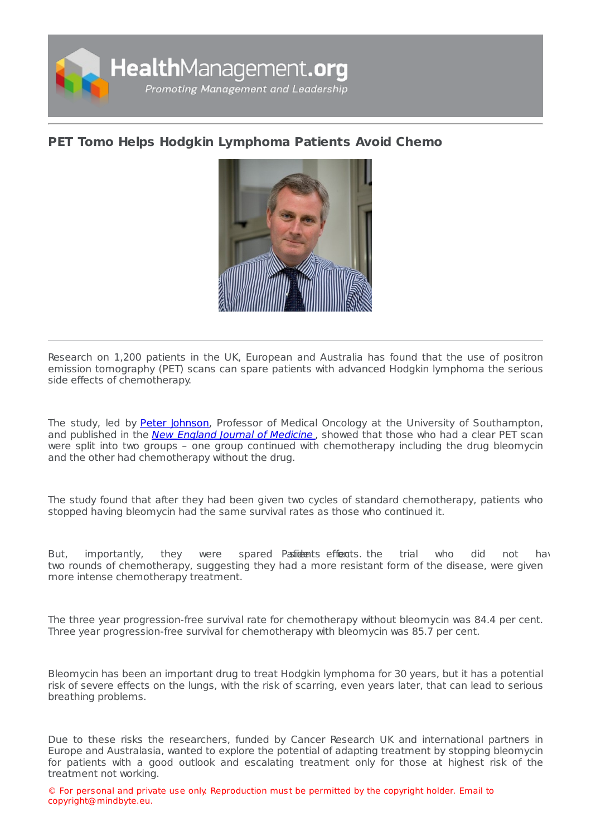

## **PET Tomo Helps Hodgkin [Lymphoma](https://healthmanagement.org/s/pet-tomo-helps-hodgkin-lymphoma-patients-avoid-chemo) Patients Avoid Chemo**



Research on 1,200 patients in the UK, European and Australia has found that the use of positron emission tomography (PET) scans can spare patients with advanced Hodgkin lymphoma the serious side effects of chemotherapy.

The study, led by Peter [Johnson](http://www.southampton.ac.uk/medicine/about/staff/johnsonp.page), Professor of Medical Oncology at the University of Southampton, and published in the New England Journal of [Medicine](http://www.nejm.org/doi/full/10.1056/NEJMoa1510093?query=featured_home), showed that those who had a clear PET scan were split into two groups – one group continued with chemotherapy including the drug bleomycin and the other had chemotherapy without the drug.

The study found that after they had been given two cycles of standard chemotherapy, patients who stopped having bleomycin had the same survival rates as those who continued it.

But, importantly, they were spared Pastidents effoents, the trial who did not have two rounds of chemotherapy, suggesting they had a more resistant form of the disease, were given more intense chemotherapy treatment.

The three year progression-free survival rate for chemotherapy without bleomycin was 84.4 per cent. Three year progression-free survival for chemotherapy with bleomycin was 85.7 per cent.

Bleomycin has been an important drug to treat Hodgkin lymphoma for 30 years, but it has a potential risk of severe effects on the lungs, with the risk of scarring, even years later, that can lead to serious breathing problems.

Due to these risks the researchers, funded by Cancer Research UK and international partners in Europe and Australasia, wanted to explore the potential of adapting treatment by stopping bleomycin for patients with a good outlook and escalating treatment only for those at highest risk of the treatment not working.

© For personal and private use only. Reproduction must be permitted by the copyright holder. Email to copyright@mindbyte.eu.